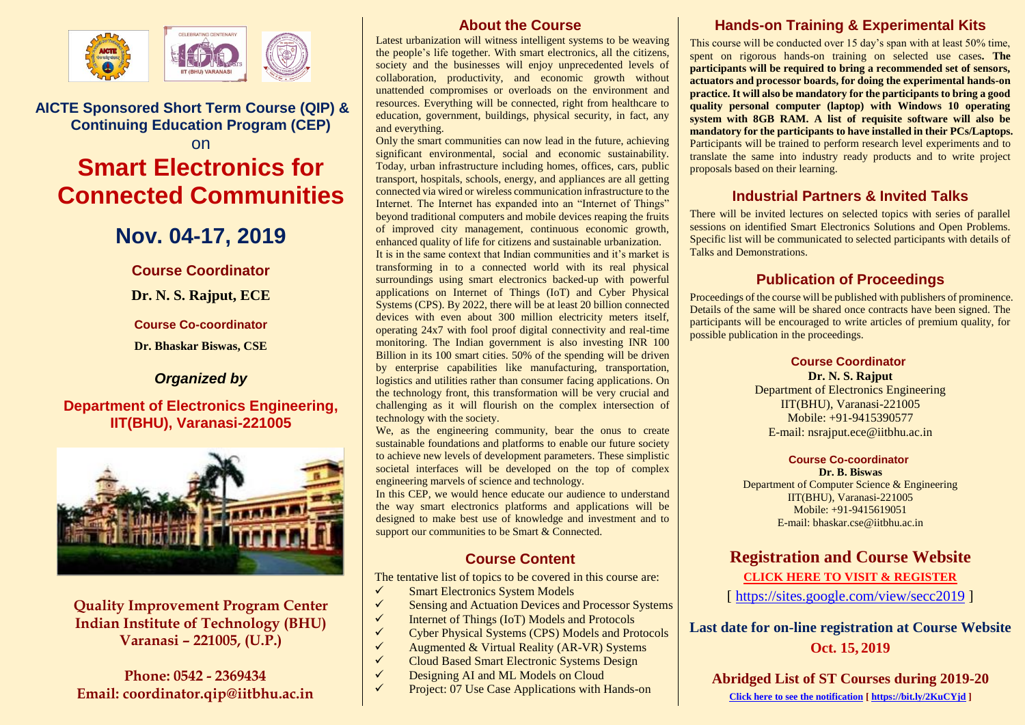

**AICTE Sponsored Short Term Course (QIP) & Continuing Education Program (CEP)**  on

# **Smart Electronics for Connected Communities**

## **Nov. 04-17, 2019**

**Course Coordinator**

**Dr. N. S. Rajput, ECE**

**Course Co-coordinator**

**Dr. Bhaskar Biswas, CSE**

## *Organized by*

## **Department of Electronics Engineering, IIT(BHU), Varanasi-221005**



## **Quality Improvement Program Center Indian Institute of Technology (BHU) Varanasi – 221005, (U.P.)**

## **Phone: 0542 - 2369434 Email: coordinator.qip@iitbhu.ac.in**

### **About the Course**

Latest urbanization will witness intelligent systems to be weaving the people's life together. With smart electronics, all the citizens, society and the businesses will enjoy unprecedented levels of collaboration, productivity, and economic growth without unattended compromises or overloads on the environment and resources. Everything will be connected, right from healthcare to education, government, buildings, physical security, in fact, any and everything.

Only the smart communities can now lead in the future, achieving significant environmental, social and economic sustainability. Today, urban infrastructure including homes, offices, cars, public transport, hospitals, schools, energy, and appliances are all getting connected via wired or wireless communication infrastructure to the Internet. The Internet has expanded into an "Internet of Things" beyond traditional computers and mobile devices reaping the fruits of improved city management, continuous economic growth, enhanced quality of life for citizens and sustainable urbanization. It is in the same context that Indian communities and it's market is transforming in to a connected world with its real physical surroundings using smart electronics backed-up with powerful applications on Internet of Things (IoT) and Cyber Physical Systems (CPS). By 2022, there will be at least 20 billion connected devices with even about 300 million electricity meters itself, operating 24x7 with fool proof digital connectivity and real-time monitoring. The Indian government is also investing INR 100 Billion in its 100 smart cities. 50% of the spending will be driven by enterprise capabilities like manufacturing, transportation, logistics and utilities rather than consumer facing applications. On the technology front, this transformation will be very crucial and challenging as it will flourish on the complex intersection of technology with the society.

We, as the engineering community, bear the onus to create sustainable foundations and platforms to enable our future society to achieve new levels of development parameters. These simplistic societal interfaces will be developed on the top of complex engineering marvels of science and technology.

In this CEP, we would hence educate our audience to understand the way smart electronics platforms and applications will be designed to make best use of knowledge and investment and to support our communities to be Smart & Connected.

## **Course Content**

The tentative list of topics to be covered in this course are:

- $\checkmark$  Smart Electronics System Models<br> $\checkmark$  Sensing and Actuation Devices and
- Sensing and Actuation Devices and Processor Systems
- $\checkmark$  Internet of Things (IoT) Models and Protocols<br> $\checkmark$  Cyber Physical Systems (CPS) Models and Pro
- ✓ Cyber Physical Systems (CPS) Models and Protocols
- ✓ Augmented & Virtual Reality (AR-VR) Systems
- ✓ Cloud Based Smart Electronic Systems Design
- ✓ Designing AI and ML Models on Cloud
- $\checkmark$  Project: 07 Use Case Applications with Hands-on

## **Hands-on Training & Experimental Kits**

This course will be conducted over 15 day's span with at least 50% time, spent on rigorous hands-on training on selected use cases**. The participants will be required to bring a recommended set of sensors, actuators and processor boards, for doing the experimental hands-on practice. It will also be mandatory for the participants to bring a good quality personal computer (laptop) with Windows 10 operating system with 8GB RAM. A list of requisite software will also be mandatory for the participants to have installed in their PCs/Laptops.** Participants will be trained to perform research level experiments and to translate the same into industry ready products and to write project proposals based on their learning.

## **Industrial Partners & Invited Talks**

There will be invited lectures on selected topics with series of parallel sessions on identified Smart Electronics Solutions and Open Problems. Specific list will be communicated to selected participants with details of Talks and Demonstrations.

## **Publication of Proceedings**

Proceedings of the course will be published with publishers of prominence. Details of the same will be shared once contracts have been signed. The participants will be encouraged to write articles of premium quality, for possible publication in the proceedings.

**Course Coordinator**

**Dr. N. S. Rajput** Department of Electronics Engineering IIT(BHU), Varanasi-221005 Mobile: +91-9415390577 E-mail[: nsrajput.ece@iitbhu.ac.in](mailto:nsrajput.ece@iitbhu.ac.in)

#### **Course Co-coordinator**

**Dr. B. Biswas** Department of Computer Science & Engineering IIT(BHU), Varanasi-221005 Mobile: +91-9415619051 E-mail: [bhaskar.cse@iitbhu.ac.in](mailto:bhaskar.cse@iitbhu.ac.in)

## **Registration and Course Website [CLICK HERE TO VISIT & REGISTER](https://sites.google.com/view/secc2019)**

[<https://sites.google.com/view/secc2019> ]

**Last date for on-line registration at Course Website Oct. 15, 2019**

**Abridged List of ST Courses during 2019-20 [Click here to see the notification](https://www.iitbhu.ac.in/contents/institute/2019/notification/noti_qip_multi_2019_20.pdf) [\[ https://bit.ly/2KuCYjd](https://bit.ly/2KuCYjd) ]**